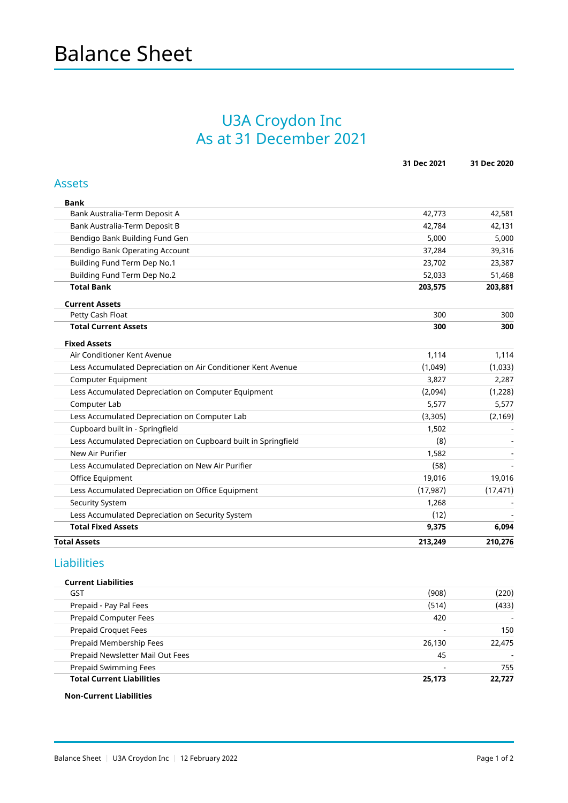## U3A Croydon Inc As at 31 December 2021

|                                                                | 31 Dec 2021 | 31 Dec 2020 |
|----------------------------------------------------------------|-------------|-------------|
| <b>Assets</b>                                                  |             |             |
| <b>Bank</b>                                                    |             |             |
| Bank Australia-Term Deposit A                                  | 42,773      | 42,581      |
| Bank Australia-Term Deposit B                                  | 42,784      | 42,131      |
| Bendigo Bank Building Fund Gen                                 | 5,000       | 5,000       |
| Bendigo Bank Operating Account                                 | 37,284      | 39,316      |
| Building Fund Term Dep No.1                                    | 23,702      | 23,387      |
| Building Fund Term Dep No.2                                    | 52,033      | 51,468      |
| <b>Total Bank</b>                                              | 203,575     | 203,881     |
| <b>Current Assets</b>                                          |             |             |
| Petty Cash Float                                               | 300         | 300         |
| <b>Total Current Assets</b>                                    | 300         | 300         |
| <b>Fixed Assets</b>                                            |             |             |
| Air Conditioner Kent Avenue                                    | 1,114       | 1,114       |
| Less Accumulated Depreciation on Air Conditioner Kent Avenue   | (1,049)     | (1,033)     |
| Computer Equipment                                             | 3,827       | 2,287       |
| Less Accumulated Depreciation on Computer Equipment            | (2,094)     | (1,228)     |
| Computer Lab                                                   | 5,577       | 5,577       |
| Less Accumulated Depreciation on Computer Lab                  | (3,305)     | (2, 169)    |
| Cupboard built in - Springfield                                | 1,502       |             |
| Less Accumulated Depreciation on Cupboard built in Springfield | (8)         |             |
| New Air Purifier                                               | 1,582       |             |
| Less Accumulated Depreciation on New Air Purifier              | (58)        |             |
| Office Equipment                                               | 19,016      | 19,016      |
| Less Accumulated Depreciation on Office Equipment              | (17, 987)   | (17, 471)   |
| <b>Security System</b>                                         | 1,268       |             |
| Less Accumulated Depreciation on Security System               | (12)        |             |
| <b>Total Fixed Assets</b>                                      | 9,375       | 6,094       |
| <b>Total Assets</b>                                            | 213,249     | 210,276     |
|                                                                |             |             |

### Liabilities

#### Current Liabilities

| <b>Total Current Liabilities</b> | 25,173                   | 22.727                   |
|----------------------------------|--------------------------|--------------------------|
| Prepaid Swimming Fees            |                          | 755                      |
| Prepaid Newsletter Mail Out Fees | 45                       |                          |
| Prepaid Membership Fees          | 26,130                   | 22,475                   |
| <b>Prepaid Croquet Fees</b>      | $\overline{\phantom{0}}$ | 150                      |
| Prepaid Computer Fees            | 420                      | $\overline{\phantom{a}}$ |
| Prepaid - Pay Pal Fees           | (514)                    | (433)                    |
| GST                              | (908)                    | (220)                    |

#### Non-Current Liabilities